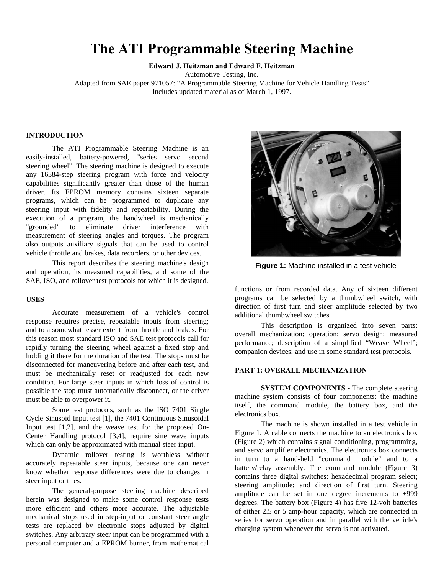# **The ATI Programmable Steering Machine**

**Edward J. Heitzman and Edward F. Heitzman**

Automotive Testing, Inc.

Adapted from SAE paper 971057: "A Programmable Steering Machine for Vehicle Handling Tests" Includes updated material as of March 1, 1997.

## **INTRODUCTION**

The ATI Programmable Steering Machine is an easily-installed, battery-powered, "series servo second steering wheel". The steering machine is designed to execute any 16384-step steering program with force and velocity capabilities significantly greater than those of the human driver. Its EPROM memory contains sixteen separate programs, which can be programmed to duplicate any steering input with fidelity and repeatability. During the execution of a program, the handwheel is mechanically "grounded" to eliminate driver interference with measurement of steering angles and torques. The program also outputs auxiliary signals that can be used to control vehicle throttle and brakes, data recorders, or other devices.

This report describes the steering machine's design and operation, its measured capabilities, and some of the SAE, ISO, and rollover test protocols for which it is designed.

## **USES**

Accurate measurement of a vehicle's control response requires precise, repeatable inputs from steering; and to a somewhat lesser extent from throttle and brakes. For this reason most standard ISO and SAE test protocols call for rapidly turning the steering wheel against a fixed stop and holding it there for the duration of the test. The stops must be disconnected for maneuvering before and after each test, and must be mechanically reset or readjusted for each new condition. For large steer inputs in which loss of control is possible the stop must automatically disconnect, or the driver must be able to overpower it.

Some test protocols, such as the ISO 7401 Single Cycle Sinusoid Input test [1], the 7401 Continuous Sinusoidal Input test [1,2], and the weave test for the proposed On-Center Handling protocol [3,4], require sine wave inputs which can only be approximated with manual steer input.

Dynamic rollover testing is worthless without accurately repeatable steer inputs, because one can never know whether response differences were due to changes in steer input or tires.

The general-purpose steering machine described herein was designed to make some control response tests more efficient and others more accurate. The adjustable mechanical stops used in step-input or constant steer angle tests are replaced by electronic stops adjusted by digital switches. Any arbitrary steer input can be programmed with a personal computer and a EPROM burner, from mathematical



**Figure 1:** Machine installed in a test vehicle

functions or from recorded data. Any of sixteen different programs can be selected by a thumbwheel switch, with direction of first turn and steer amplitude selected by two additional thumbwheel switches.

This description is organized into seven parts: overall mechanization; operation; servo design; measured performance; description of a simplified "Weave Wheel"; companion devices; and use in some standard test protocols.

## **PART 1: OVERALL MECHANIZATION**

**SYSTEM COMPONENTS - The complete steering** machine system consists of four components: the machine itself, the command module, the battery box, and the electronics box.

The machine is shown installed in a test vehicle in Figure 1. A cable connects the machine to an electronics box (Figure 2) which contains signal conditioning, programming, and servo amplifier electronics. The electronics box connects in turn to a hand-held "command module" and to a battery/relay assembly. The command module (Figure 3) contains three digital switches: hexadecimal program select; steering amplitude; and direction of first turn. Steering amplitude can be set in one degree increments to  $\pm 999$ degrees. The battery box (Figure 4) has five 12-volt batteries of either 2.5 or 5 amp-hour capacity, which are connected in series for servo operation and in parallel with the vehicle's charging system whenever the servo is not activated.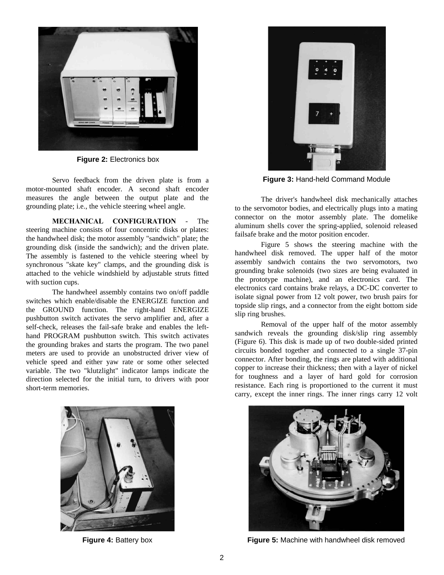

**Figure 2:** Electronics box

Servo feedback from the driven plate is from a motor-mounted shaft encoder. A second shaft encoder measures the angle between the output plate and the grounding plate; i.e., the vehicle steering wheel angle.

**MECHANICAL CONFIGURATION** - The steering machine consists of four concentric disks or plates: the handwheel disk; the motor assembly "sandwich" plate; the grounding disk (inside the sandwich); and the driven plate. The assembly is fastened to the vehicle steering wheel by synchronous "skate key" clamps, and the grounding disk is attached to the vehicle windshield by adjustable struts fitted with suction cups.

The handwheel assembly contains two on/off paddle switches which enable/disable the ENERGIZE function and the GROUND function. The right-hand ENERGIZE pushbutton switch activates the servo amplifier and, after a self-check, releases the fail-safe brake and enables the lefthand PROGRAM pushbutton switch. This switch activates the grounding brakes and starts the program. The two panel meters are used to provide an unobstructed driver view of vehicle speed and either yaw rate or some other selected variable. The two "klutzlight" indicator lamps indicate the direction selected for the initial turn, to drivers with poor short-term memories.





**Figure 3:** Hand-held Command Module

The driver's handwheel disk mechanically attaches to the servomotor bodies, and electrically plugs into a mating connector on the motor assembly plate. The domelike aluminum shells cover the spring-applied, solenoid released failsafe brake and the motor position encoder.

Figure 5 shows the steering machine with the handwheel disk removed. The upper half of the motor assembly sandwich contains the two servomotors, two grounding brake solenoids (two sizes are being evaluated in the prototype machine), and an electronics card. The electronics card contains brake relays, a DC-DC converter to isolate signal power from 12 volt power, two brush pairs for topside slip rings, and a connector from the eight bottom side slip ring brushes.

Removal of the upper half of the motor assembly sandwich reveals the grounding disk/slip ring assembly (Figure 6). This disk is made up of two double-sided printed circuits bonded together and connected to a single 37-pin connector. After bonding, the rings are plated with additional copper to increase their thickness; then with a layer of nickel for toughness and a layer of hard gold for corrosion resistance. Each ring is proportioned to the current it must carry, except the inner rings. The inner rings carry 12 volt



**Figure 4:** Battery box **Figure 5:** Machine with handwheel disk removed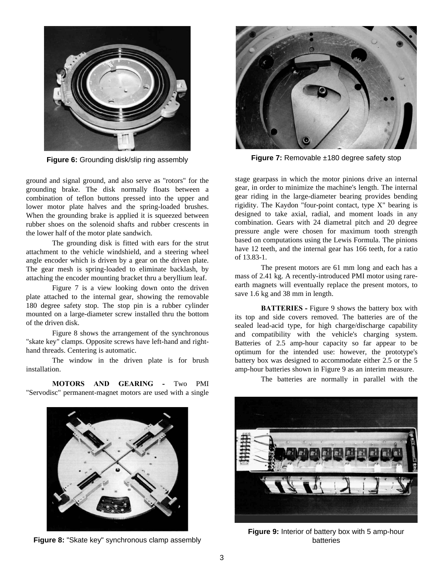

**Figure 6:** Grounding disk/slip ring assembly

ground and signal ground, and also serve as "rotors" for the grounding brake. The disk normally floats between a combination of teflon buttons pressed into the upper and lower motor plate halves and the spring-loaded brushes. When the grounding brake is applied it is squeezed between rubber shoes on the solenoid shafts and rubber crescents in the lower half of the motor plate sandwich.

The grounding disk is fitted with ears for the strut attachment to the vehicle windshield, and a steering wheel angle encoder which is driven by a gear on the driven plate. The gear mesh is spring-loaded to eliminate backlash, by attaching the encoder mounting bracket thru a beryllium leaf.

Figure 7 is a view looking down onto the driven plate attached to the internal gear, showing the removable 180 degree safety stop. The stop pin is a rubber cylinder mounted on a large-diameter screw installed thru the bottom of the driven disk.

Figure 8 shows the arrangement of the synchronous "skate key" clamps. Opposite screws have left-hand and righthand threads. Centering is automatic.

The window in the driven plate is for brush installation.

**MOTORS AND GEARING -** Two PMI "Servodisc" permanent-magnet motors are used with a single



**Figure 7:** Removable ±180 degree safety stop

stage gearpass in which the motor pinions drive an internal gear, in order to minimize the machine's length. The internal gear riding in the large-diameter bearing provides bending rigidity. The Kaydon "four-point contact, type X" bearing is designed to take axial, radial, and moment loads in any combination. Gears with 24 diametral pitch and 20 degree pressure angle were chosen for maximum tooth strength based on computations using the Lewis Formula. The pinions have 12 teeth, and the internal gear has 166 teeth, for a ratio of 13.83-1.

The present motors are 61 mm long and each has a mass of 2.41 kg. A recently-introduced PMI motor using rareearth magnets will eventually replace the present motors, to save 1.6 kg and 38 mm in length.

**BATTERIES** - Figure 9 shows the battery box with its top and side covers removed. The batteries are of the sealed lead-acid type, for high charge/discharge capability and compatibility with the vehicle's charging system. Batteries of 2.5 amp-hour capacity so far appear to be optimum for the intended use: however, the prototype's battery box was designed to accommodate either 2.5 or the 5 amp-hour batteries shown in Figure 9 as an interim measure.



**Figure 8:** "Skate key" synchronous clamp assembly

The batteries are normally in parallel with the



**Figure 9:** Interior of battery box with 5 amp-hour batteries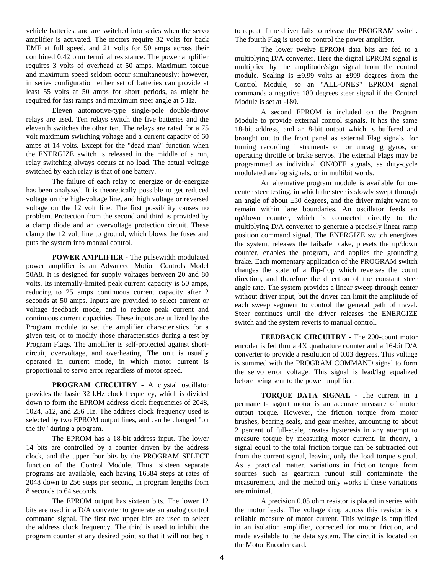vehicle batteries, and are switched into series when the servo amplifier is activated. The motors require 32 volts for back EMF at full speed, and 21 volts for 50 amps across their combined 0.42 ohm terminal resistance. The power amplifier requires 3 volts of overhead at 50 amps. Maximum torque and maximum speed seldom occur simultaneously: however, in series configuration either set of batteries can provide at least 55 volts at 50 amps for short periods, as might be required for fast ramps and maximum steer angle at 5 Hz.

Eleven automotive-type single-pole double-throw relays are used. Ten relays switch the five batteries and the eleventh switches the other ten. The relays are rated for a 75 volt maximum switching voltage and a current capacity of 60 amps at 14 volts. Except for the "dead man" function when the ENERGIZE switch is released in the middle of a run, relay switching always occurs at no load. The actual voltage switched by each relay is that of one battery.

The failure of each relay to energize or de-energize has been analyzed. It is theoretically possible to get reduced voltage on the high-voltage line, and high voltage or reversed voltage on the 12 volt line. The first possibility causes no problem. Protection from the second and third is provided by a clamp diode and an overvoltage protection circuit. These clamp the 12 volt line to ground, which blows the fuses and puts the system into manual control.

**POWER AMPLIFIER -** The pulsewidth modulated power amplifier is an Advanced Motion Controls Model 50A8. It is designed for supply voltages between 20 and 80 volts. Its internally-limited peak current capacity is 50 amps, reducing to 25 amps continuous current capacity after 2 seconds at 50 amps. Inputs are provided to select current or voltage feedback mode, and to reduce peak current and continuous current capacities. These inputs are utilized by the Program module to set the amplifier characteristics for a given test, or to modify those characteristics during a test by Program Flags. The amplifier is self-protected against shortcircuit, overvoltage, and overheating. The unit is usually operated in current mode, in which motor current is proportional to servo error regardless of motor speed.

**PROGRAM CIRCUITRY -** A crystal oscillator provides the basic 32 kHz clock frequency, which is divided down to form the EPROM address clock frequencies of 2048, 1024, 512, and 256 Hz. The address clock frequency used is selected by two EPROM output lines, and can be changed "on the fly" during a program.

The EPROM has a 18-bit address input. The lower 14 bits are controlled by a counter driven by the address clock, and the upper four bits by the PROGRAM SELECT function of the Control Module. Thus, sixteen separate programs are available, each having 16384 steps at rates of 2048 down to 256 steps per second, in program lengths from 8 seconds to 64 seconds.

The EPROM output has sixteen bits. The lower 12 bits are used in a D/A converter to generate an analog control command signal. The first two upper bits are used to select the address clock frequency. The third is used to inhibit the program counter at any desired point so that it will not begin

to repeat if the driver fails to release the PROGRAM switch. The fourth Flag is used to control the power amplifier.

The lower twelve EPROM data bits are fed to a multiplying D/A converter. Here the digital EPROM signal is multiplied by the amplitude/sign signal from the control module. Scaling is  $\pm 9.99$  volts at  $\pm 999$  degrees from the Control Module, so an "ALL-ONES" EPROM signal commands a negative 180 degrees steer signal if the Control Module is set at -180.

A second EPROM is included on the Program Module to provide external control signals. It has the same 18-bit address, and an 8-bit output which is buffered and brought out to the front panel as external Flag signals, for turning recording instruments on or uncaging gyros, or operating throttle or brake servos. The external Flags may be programmed as individual ON/OFF signals, as duty-cycle modulated analog signals, or in multibit words.

An alternative program module is available for oncenter steer testing, in which the steer is slowly swept through an angle of about  $\pm 30$  degrees, and the driver might want to remain within lane boundaries. An oscillator feeds an up/down counter, which is connected directly to the multiplying D/A converter to generate a precisely linear ramp position command signal. The ENERGIZE switch energizes the system, releases the failsafe brake, presets the up/down counter, enables the program, and applies the grounding brake. Each momentary application of the PROGRAM switch changes the state of a flip-flop which reverses the count direction, and therefore the direction of the constant steer angle rate. The system provides a linear sweep through center without driver input, but the driver can limit the amplitude of each sweep segment to control the general path of travel. Steer continues until the driver releases the ENERGIZE switch and the system reverts to manual control.

**FEEDBACK CIRCUITRY -** The 200-count motor encoder is fed thru a 4X quadrature counter and a 16-bit D/A converter to provide a resolution of 0.03 degrees. This voltage is summed with the PROGRAM COMMAND signal to form the servo error voltage. This signal is lead/lag equalized before being sent to the power amplifier.

**TORQUE DATA SIGNAL -** The current in a permanent-magnet motor is an accurate measure of motor output torque. However, the friction torque from motor brushes, bearing seals, and gear meshes, amounting to about 2 percent of full-scale, creates hysteresis in any attempt to measure torque by measuring motor current. In theory, a signal equal to the total friction torque can be subtracted out from the current signal, leaving only the load torque signal. As a practical matter, variations in friction torque from sources such as geartrain runout still contaminate the measurement, and the method only works if these variations are minimal.

A precision 0.05 ohm resistor is placed in series with the motor leads. The voltage drop across this resistor is a reliable measure of motor current. This voltage is amplified in an isolation amplifier, corrected for motor friction, and made available to the data system. The circuit is located on the Motor Encoder card.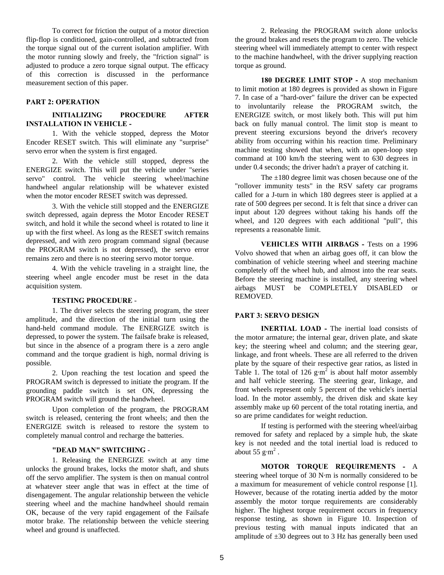To correct for friction the output of a motor direction flip-flop is conditioned, gain-controlled, and subtracted from the torque signal out of the current isolation amplifier. With the motor running slowly and freely, the "friction signal" is adjusted to produce a zero torque signal output. The efficacy of this correction is discussed in the performance measurement section of this paper.

## **PART 2: OPERATION**

## **INITIALIZING PROCEDURE AFTER INSTALLATION IN VEHICLE -**

1. With the vehicle stopped, depress the Motor Encoder RESET switch. This will eliminate any "surprise" servo error when the system is first engaged.

2. With the vehicle still stopped, depress the ENERGIZE switch. This will put the vehicle under "series servo" control. The vehicle steering wheel/machine handwheel angular relationship will be whatever existed when the motor encoder RESET switch was depressed.

3. With the vehicle still stopped and the ENERGIZE switch depressed, again depress the Motor Encoder RESET switch, and hold it while the second wheel is rotated to line it up with the first wheel. As long as the RESET switch remains depressed, and with zero program command signal (because the PROGRAM switch is not depressed), the servo error remains zero and there is no steering servo motor torque.

4. With the vehicle traveling in a straight line, the steering wheel angle encoder must be reset in the data acquisition system.

## **TESTING PROCEDURE** -

1. The driver selects the steering program, the steer amplitude, and the direction of the initial turn using the hand-held command module. The ENERGIZE switch is depressed, to power the system. The failsafe brake is released, but since in the absence of a program there is a zero angle command and the torque gradient is high, normal driving is possible.

2. Upon reaching the test location and speed the PROGRAM switch is depressed to initiate the program. If the grounding paddle switch is set ON, depressing the PROGRAM switch will ground the handwheel.

Upon completion of the program, the PROGRAM switch is released, centering the front wheels; and then the ENERGIZE switch is released to restore the system to completely manual control and recharge the batteries.

#### **"DEAD MAN" SWITCHING** -

1. Releasing the ENERGIZE switch at any time unlocks the ground brakes, locks the motor shaft, and shuts off the servo amplifier. The system is then on manual control at whatever steer angle that was in effect at the time of disengagement. The angular relationship between the vehicle steering wheel and the machine handwheel should remain OK, because of the very rapid engagement of the Failsafe motor brake. The relationship between the vehicle steering wheel and ground is unaffected.

2. Releasing the PROGRAM switch alone unlocks the ground brakes and resets the program to zero. The vehicle steering wheel will immediately attempt to center with respect to the machine handwheel, with the driver supplying reaction torque as ground.

**180 DEGREE LIMIT STOP -** A stop mechanism to limit motion at 180 degrees is provided as shown in Figure 7. In case of a "hard-over" failure the driver can be expected to involuntarily release the PROGRAM switch, the ENERGIZE switch, or most likely both. This will put him back on fully manual control. The limit stop is meant to prevent steering excursions beyond the driver's recovery ability from occurring within his reaction time. Preliminary machine testing showed that when, with an open-loop step command at 100 km/h the steering went to 630 degrees in under 0.4 seconds; the driver hadn't a prayer of catching it.

The ±180 degree limit was chosen because one of the "rollover immunity tests" in the RSV safety car programs called for a J-turn in which 180 degrees steer is applied at a rate of 500 degrees per second. It is felt that since a driver can input about 120 degrees without taking his hands off the wheel, and 120 degrees with each additional "pull", this represents a reasonable limit.

**VEHICLES WITH AIRBAGS -** Tests on a 1996 Volvo showed that when an airbag goes off, it can blow the combination of vehicle steering wheel and steering machine completely off the wheel hub, and almost into the rear seats. Before the steering machine is installed, any steering wheel airbags MUST be COMPLETELY DISABLED or REMOVED.

## **PART 3: SERVO DESIGN**

**INERTIAL LOAD - The inertial load consists of** the motor armature; the internal gear, driven plate, and skate key; the steering wheel and column; and the steering gear, linkage, and front wheels. These are all referred to the driven plate by the square of their respective gear ratios, as listed in Table 1. The total of 126  $\text{g}\cdot\text{m}^2$  is about half motor assembly and half vehicle steering. The steering gear, linkage, and front wheels represent only 5 percent of the vehicle's inertial load. In the motor assembly, the driven disk and skate key assembly make up 60 percent of the total rotating inertia, and so are prime candidates for weight reduction.

If testing is performed with the steering wheel/airbag removed for safety and replaced by a simple hub, the skate key is not needed and the total inertial load is reduced to about 55  $\text{g} \cdot \text{m}^2$ .

**MOTOR TORQUE REQUIREMENTS -** A steering wheel torque of 30 N·m is normally considered to be a maximum for measurement of vehicle control response [1]. However, because of the rotating inertia added by the motor assembly the motor torque requirements are considerably higher. The highest torque requirement occurs in frequency response testing, as shown in Figure 10. Inspection of previous testing with manual inputs indicated that an amplitude of  $\pm 30$  degrees out to 3 Hz has generally been used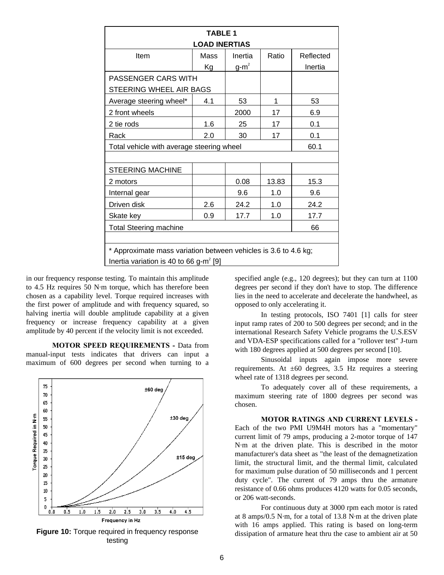| <b>TABLE 1</b><br><b>LOAD INERTIAS</b>                          |      |         |       |           |  |
|-----------------------------------------------------------------|------|---------|-------|-----------|--|
| Item                                                            | Mass | Inertia | Ratio | Reflected |  |
|                                                                 | Кg   | $g-m^2$ |       | Inertia   |  |
| <b>PASSENGER CARS WITH</b>                                      |      |         |       |           |  |
| STEERING WHEEL AIR BAGS                                         |      |         |       |           |  |
| Average steering wheel*                                         | 4.1  | 53      | 1     | 53        |  |
| 2 front wheels                                                  |      | 2000    | 17    | 6.9       |  |
| 2 tie rods                                                      | 1.6  | 25      | 17    | 0.1       |  |
| Rack                                                            | 2.0  | 30      | 17    | 0.1       |  |
| Total vehicle with average steering wheel                       |      |         |       | 60.1      |  |
|                                                                 |      |         |       |           |  |
| <b>STEERING MACHINE</b>                                         |      |         |       |           |  |
| 2 motors                                                        |      | 0.08    | 13.83 | 15.3      |  |
| Internal gear                                                   |      | 9.6     | 1.0   | 9.6       |  |
| Driven disk                                                     | 2.6  | 24.2    | 1.0   | 24.2      |  |
| Skate key                                                       | 0.9  | 17.7    | 1.0   | 17.7      |  |
| <b>Total Steering machine</b>                                   |      |         | 66    |           |  |
|                                                                 |      |         |       |           |  |
| * Approximate mass variation between vehicles is 3.6 to 4.6 kg; |      |         |       |           |  |
| Inertia variation is 40 to 66 g-m <sup>2</sup> [9]              |      |         |       |           |  |

in our frequency response testing. To maintain this amplitude to 4.5 Hz requires 50 N·m torque, which has therefore been chosen as a capability level. Torque required increases with the first power of amplitude and with frequency squared, so halving inertia will double amplitude capability at a given frequency or increase frequency capability at a given amplitude by 40 percent if the velocity limit is not exceeded.

**MOTOR SPEED REQUIREMENTS -** Data from manual-input tests indicates that drivers can input a maximum of 600 degrees per second when turning to a



**Figure 10:** Torque required in frequency response testing

specified angle (e.g., 120 degrees); but they can turn at 1100 degrees per second if they don't have to stop. The difference lies in the need to accelerate and decelerate the handwheel, as opposed to only accelerating it.

In testing protocols, ISO 7401 [1] calls for steer input ramp rates of 200 to 500 degrees per second; and in the international Research Safety Vehicle programs the U.S.ESV and VDA-ESP specifications called for a "rollover test" J-turn with 180 degrees applied at 500 degrees per second [10].

Sinusoidal inputs again impose more severe requirements. At  $\pm 60$  degrees, 3.5 Hz requires a steering wheel rate of 1318 degrees per second.

To adequately cover all of these requirements, a maximum steering rate of 1800 degrees per second was chosen.

## **MOTOR RATINGS AND CURRENT LEVELS -**

Each of the two PMI U9M4H motors has a "momentary" current limit of 79 amps, producing a 2-motor torque of 147 N·m at the driven plate. This is described in the motor manufacturer's data sheet as "the least of the demagnetization limit, the structural limit, and the thermal limit, calculated for maximum pulse duration of 50 milliseconds and 1 percent duty cycle". The current of 79 amps thru the armature resistance of 0.66 ohms produces 4120 watts for 0.05 seconds, or 206 watt-seconds.

For continuous duty at 3000 rpm each motor is rated at 8 amps/0.5 N·m, for a total of 13.8 N·m at the driven plate with 16 amps applied. This rating is based on long-term dissipation of armature heat thru the case to ambient air at 50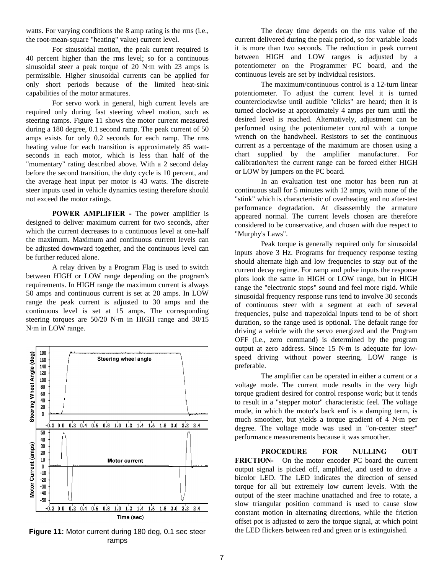watts. For varying conditions the 8 amp rating is the rms (i.e., the root-mean-square "heating" value) current level.

For sinusoidal motion, the peak current required is 40 percent higher than the rms level; so for a continuous sinusoidal steer a peak torque of 20 N·m with 23 amps is permissible. Higher sinusoidal currents can be applied for only short periods because of the limited heat-sink capabilities of the motor armatures.

For servo work in general, high current levels are required only during fast steering wheel motion, such as steering ramps. Figure 11 shows the motor current measured during a 180 degree, 0.1 second ramp. The peak current of 50 amps exists for only 0.2 seconds for each ramp. The rms heating value for each transition is approximately 85 wattseconds in each motor, which is less than half of the "momentary" rating described above. With a 2 second delay before the second transition, the duty cycle is 10 percent, and the average heat input per motor is 43 watts. The discrete steer inputs used in vehicle dynamics testing therefore should not exceed the motor ratings.

**POWER AMPLIFIER - The power amplifier is** designed to deliver maximum current for two seconds, after which the current decreases to a continuous level at one-half the maximum. Maximum and continuous current levels can be adjusted downward together, and the continuous level can be further reduced alone.

A relay driven by a Program Flag is used to switch between HIGH or LOW range depending on the program's requirements. In HIGH range the maximum current is always 50 amps and continuous current is set at 20 amps. In LOW range the peak current is adjusted to 30 amps and the continuous level is set at 15 amps. The corresponding steering torques are 50/20 N·m in HIGH range and 30/15 N·m in LOW range.



ramps

The decay time depends on the rms value of the current delivered during the peak period, so for variable loads it is more than two seconds. The reduction in peak current between HIGH and LOW ranges is adjusted by a potentiometer on the Programmer PC board, and the continuous levels are set by individual resistors.

The maximum/continuous control is a 12-turn linear potentiometer. To adjust the current level it is turned counterclockwise until audible "clicks" are heard; then it is turned clockwise at approximately 4 amps per turn until the desired level is reached. Alternatively, adjustment can be performed using the potentiometer control with a torque wrench on the handwheel. Resistors to set the continuous current as a percentage of the maximum are chosen using a chart supplied by the amplifier manufacturer. For calibration/test the current range can be forced either HIGH or LOW by jumpers on the PC board.

In an evaluation test one motor has been run at continuous stall for 5 minutes with 12 amps, with none of the "stink" which is characteristic of overheating and no after-test performance degradation. At disassembly the armature appeared normal. The current levels chosen are therefore considered to be conservative, and chosen with due respect to "Murphy's Laws".

Peak torque is generally required only for sinusoidal inputs above 3 Hz. Programs for frequency response testing should alternate high and low frequencies to stay out of the current decay regime. For ramp and pulse inputs the response plots look the same in HIGH or LOW range, but in HIGH range the "electronic stops" sound and feel more rigid. While sinusoidal frequency response runs tend to involve 30 seconds of continuous steer with a segment at each of several frequencies, pulse and trapezoidal inputs tend to be of short duration, so the range used is optional. The default range for driving a vehicle with the servo energized and the Program OFF (i.e., zero command) is determined by the program output at zero address. Since 15 N·m is adequate for lowspeed driving without power steering, LOW range is preferable.

The amplifier can be operated in either a current or a voltage mode. The current mode results in the very high torque gradient desired for control response work; but it tends to result in a "stepper motor" characteristic feel. The voltage mode, in which the motor's back emf is a damping term, is much smoother, but yields a torque gradient of 4 N·m per degree. The voltage mode was used in "on-center steer" performance measurements because it was smoother.

**PROCEDURE FOR NULLING OUT FRICTION-** On the motor encoder PC board the current output signal is picked off, amplified, and used to drive a bicolor LED. The LED indicates the direction of sensed torque for all but extremely low current levels. With the output of the steer machine unattached and free to rotate, a slow triangular position command is used to cause slow constant motion in alternating directions, while the friction offset pot is adjusted to zero the torque signal, at which point **Figure 11:** Motor current during 180 deg, 0.1 sec steer the LED flickers between red and green or is extinguished.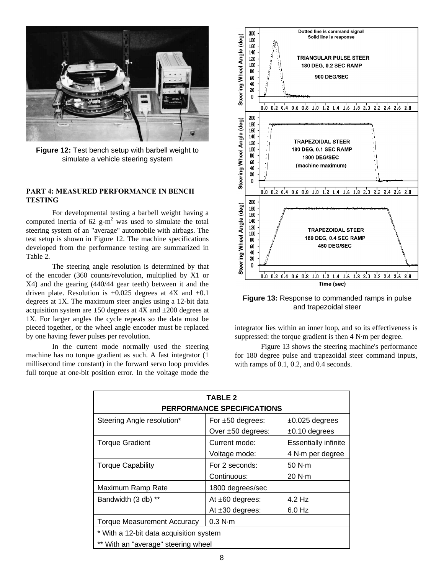

**Figure 12:** Test bench setup with barbell weight to simulate a vehicle steering system

## **PART 4: MEASURED PERFORMANCE IN BENCH TESTING**

For developmental testing a barbell weight having a computed inertia of 62  $g-m^2$  was used to simulate the total steering system of an "average" automobile with airbags. The test setup is shown in Figure 12. The machine specifications developed from the performance testing are summarized in Table 2.

The steering angle resolution is determined by that of the encoder (360 counts/revolution, multiplied by X1 or X4) and the gearing (440/44 gear teeth) between it and the driven plate. Resolution is  $\pm 0.025$  degrees at 4X and  $\pm 0.1$ degrees at 1X. The maximum steer angles using a 12-bit data acquisition system are  $\pm 50$  degrees at 4X and  $\pm 200$  degrees at 1X. For larger angles the cycle repeats so the data must be pieced together, or the wheel angle encoder must be replaced by one having fewer pulses per revolution.

In the current mode normally used the steering machine has no torque gradient as such. A fast integrator (1 millisecond time constant) in the forward servo loop provides full torque at one-bit position error. In the voltage mode the



**Figure 13:** Response to commanded ramps in pulse and trapezoidal steer

integrator lies within an inner loop, and so its effectiveness is suppressed: the torque gradient is then 4 N·m per degree.

Figure 13 shows the steering machine's performance for 180 degree pulse and trapezoidal steer command inputs, with ramps of 0.1, 0.2, and 0.4 seconds.

| <b>TABLE 2</b><br><b>PERFORMANCE SPECIFICATIONS</b> |                       |                             |  |  |  |
|-----------------------------------------------------|-----------------------|-----------------------------|--|--|--|
| Steering Angle resolution*                          | For $\pm 50$ degrees: | $±0.025$ degrees            |  |  |  |
|                                                     | Over ±50 degrees:     | $±0.10$ degrees             |  |  |  |
| <b>Torque Gradient</b>                              | Current mode:         | <b>Essentially infinite</b> |  |  |  |
|                                                     | Voltage mode:         | 4 N·m per degree            |  |  |  |
| <b>Torque Capability</b>                            | For 2 seconds:        | 50 N·m                      |  |  |  |
|                                                     | Continuous:           | 20 N·m                      |  |  |  |
| Maximum Ramp Rate                                   | 1800 degrees/sec      |                             |  |  |  |
| Bandwidth (3 db) **                                 | At $±60$ degrees:     | 4.2 Hz                      |  |  |  |
|                                                     | At $±30$ degrees:     | $6.0$ Hz                    |  |  |  |
| <b>Torque Measurement Accuracy</b>                  | $0.3$ N $\cdot$ m     |                             |  |  |  |
| * With a 12-bit data acquisition system             |                       |                             |  |  |  |
| ** With an "average" steering wheel                 |                       |                             |  |  |  |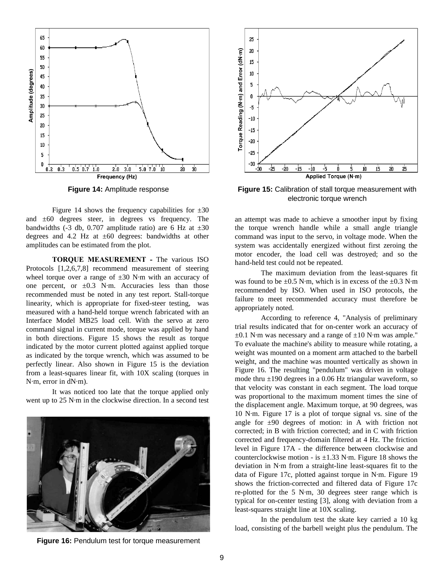

**Figure 14:** Amplitude response

Figure 14 shows the frequency capabilities for  $\pm 30$ and ±60 degrees steer, in degrees vs frequency. The bandwidths (-3 db, 0.707 amplitude ratio) are 6 Hz at  $\pm 30$ degrees and 4.2 Hz at  $\pm 60$  degrees: bandwidths at other amplitudes can be estimated from the plot.

**TORQUE MEASUREMENT - The various ISO** Protocols [1,2,6,7,8] recommend measurement of steering wheel torque over a range of  $\pm 30$  N·m with an accuracy of one percent, or  $\pm 0.3$  N·m. Accuracies less than those recommended must be noted in any test report. Stall-torque linearity, which is appropriate for fixed-steer testing, was measured with a hand-held torque wrench fabricated with an Interface Model MB25 load cell. With the servo at zero command signal in current mode, torque was applied by hand in both directions. Figure 15 shows the result as torque indicated by the motor current plotted against applied torque as indicated by the torque wrench, which was assumed to be perfectly linear. Also shown in Figure 15 is the deviation from a least-squares linear fit, with 10X scaling (torques in N·m, error in dN·m).

It was noticed too late that the torque applied only went up to 25 N·m in the clockwise direction. In a second test



**Figure 16:** Pendulum test for torque measurement



**Figure 15:** Calibration of stall torque measurement with electronic torque wrench

an attempt was made to achieve a smoother input by fixing the torque wrench handle while a small angle triangle command was input to the servo, in voltage mode. When the system was accidentally energized without first zeroing the motor encoder, the load cell was destroyed; and so the hand-held test could not be repeated.

The maximum deviation from the least-squares fit was found to be  $\pm 0.5$  N·m, which is in excess of the  $\pm 0.3$  N·m recommended by ISO. When used in ISO protocols, the failure to meet recommended accuracy must therefore be appropriately noted.

According to reference 4, "Analysis of preliminary trial results indicated that for on-center work an accuracy of  $\pm 0.1$  N·m was necessary and a range of  $\pm 10$  N·m was ample." To evaluate the machine's ability to measure while rotating, a weight was mounted on a moment arm attached to the barbell weight, and the machine was mounted vertically as shown in Figure 16. The resulting "pendulum" was driven in voltage mode thru  $\pm 190$  degrees in a 0.06 Hz triangular waveform, so that velocity was constant in each segment. The load torque was proportional to the maximum moment times the sine of the displacement angle. Maximum torque, at 90 degrees, was 10 N·m. Figure 17 is a plot of torque signal vs. sine of the angle for  $\pm 90$  degrees of motion: in A with friction not corrected; in B with friction corrected; and in C with friction corrected and frequency-domain filtered at 4 Hz. The friction level in Figure 17A - the difference between clockwise and counterclockwise motion - is  $\pm 1.33$  N·m. Figure 18 shows the deviation in N·m from a straight-line least-squares fit to the data of Figure 17c, plotted against torque in N·m. Figure 19 shows the friction-corrected and filtered data of Figure 17c re-plotted for the 5 N·m, 30 degrees steer range which is typical for on-center testing [3], along with deviation from a least-squares straight line at 10X scaling.

In the pendulum test the skate key carried a 10 kg load, consisting of the barbell weight plus the pendulum. The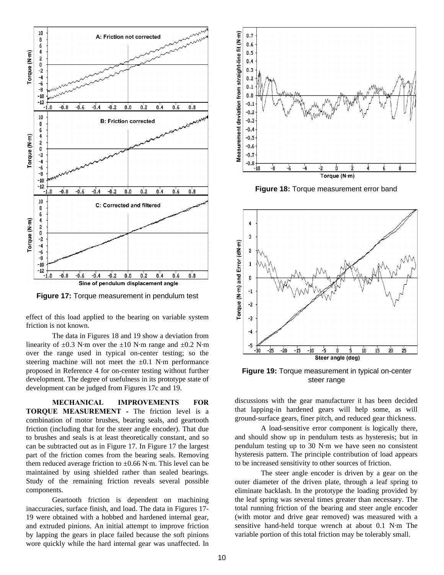

**Figure 17:** Torque measurement in pendulum test

effect of this load applied to the bearing on variable system friction is not known.

The data in Figures 18 and 19 show a deviation from linearity of  $\pm 0.3$  N·m over the  $\pm 10$  N·m range and  $\pm 0.2$  N·m over the range used in typical on-center testing; so the steering machine will not meet the  $\pm 0.1$  N·m performance proposed in Reference 4 for on-center testing without further development. The degree of usefulness in its prototype state of development can be judged from Figures 17c and 19.

**MECHANICAL IMPROVEMENTS FOR TORQUE MEASUREMENT - The friction level is a** combination of motor brushes, bearing seals, and geartooth friction (including that for the steer angle encoder). That due to brushes and seals is at least theoretically constant, and so can be subtracted out as in Figure 17. In Figure 17 the largest part of the friction comes from the bearing seals. Removing them reduced average friction to  $\pm 0.66$  N·m. This level can be maintained by using shielded rather than sealed bearings. Study of the remaining friction reveals several possible components.

Geartooth friction is dependent on machining inaccuracies, surface finish, and load. The data in Figures 17- 19 were obtained with a hobbed and hardened internal gear, and extruded pinions. An initial attempt to improve friction by lapping the gears in place failed because the soft pinions wore quickly while the hard internal gear was unaffected. In



**Figure 18:** Torque measurement error band



**Figure 19:** Torque measurement in typical on-center steer range

discussions with the gear manufacturer it has been decided that lapping-in hardened gears will help some, as will ground-surface gears, finer pitch, and reduced gear thickness.

A load-sensitive error component is logically there, and should show up in pendulum tests as hysteresis; but in pendulum testing up to 30 N·m we have seen no consistent hysteresis pattern. The principle contribution of load appears to be increased sensitivity to other sources of friction.

The steer angle encoder is driven by a gear on the outer diameter of the driven plate, through a leaf spring to eliminate backlash. In the prototype the loading provided by the leaf spring was several times greater than necessary. The total running friction of the bearing and steer angle encoder (with motor and drive gear removed) was measured with a sensitive hand-held torque wrench at about 0.1 N·m The variable portion of this total friction may be tolerably small.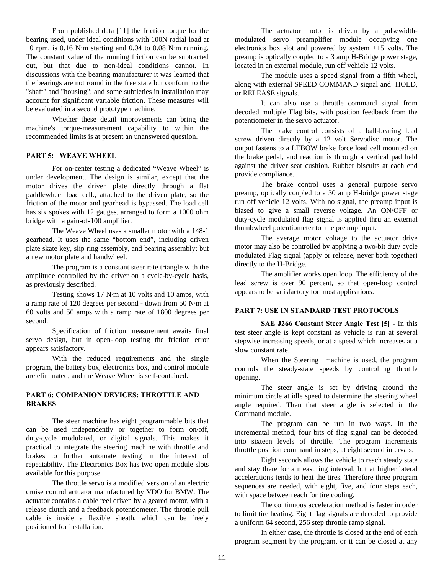From published data [11] the friction torque for the bearing used, under ideal conditions with 100N radial load at 10 rpm, is 0.16 N·m starting and 0.04 to 0.08 N·m running. The constant value of the running friction can be subtracted out, but that due to non-ideal conditions cannot. In discussions with the bearing manufacturer it was learned that the bearings are not round in the free state but conform to the "shaft" and "housing"; and some subtleties in installation may account for significant variable friction. These measures will be evaluated in a second prototype machine.

Whether these detail improvements can bring the machine's torque-measurement capability to within the recommended limits is at present an unanswered question.

## **PART 5: WEAVE WHEEL**

For on-center testing a dedicated "Weave Wheel" is under development. The design is similar, except that the motor drives the driven plate directly through a flat paddlewheel load cell., attached to the driven plate, so the friction of the motor and gearhead is bypassed. The load cell has six spokes with 12 gauges, arranged to form a 1000 ohm bridge with a gain-of-100 amplifier.

The Weave Wheel uses a smaller motor with a 148-1 gearhead. It uses the same "bottom end", including driven plate skate key, slip ring assembly, and bearing assembly; but a new motor plate and handwheel.

The program is a constant steer rate triangle with the amplitude controlled by the driver on a cycle-by-cycle basis, as previously described.

Testing shows 17 N·m at 10 volts and 10 amps, with a ramp rate of 120 degrees per second - down from 50 N·m at 60 volts and 50 amps with a ramp rate of 1800 degrees per second.

Specification of friction measurement awaits final servo design, but in open-loop testing the friction error appears satisfactory.

With the reduced requirements and the single program, the battery box, electronics box, and control module are eliminated, and the Weave Wheel is self-contained.

## **PART 6: COMPANION DEVICES: THROTTLE AND BRAKES**

The steer machine has eight programmable bits that can be used independently or together to form on/off, duty-cycle modulated, or digital signals. This makes it practical to integrate the steering machine with throttle and brakes to further automate testing in the interest of repeatability. The Electronics Box has two open module slots available for this purpose.

The throttle servo is a modified version of an electric cruise control actuator manufactured by VDO for BMW. The actuator contains a cable reel driven by a geared motor, with a release clutch and a feedback potentiometer. The throttle pull cable is inside a flexible sheath, which can be freely positioned for installation.

The actuator motor is driven by a pulsewidthmodulated servo preamplifier module occupying one electronics box slot and powered by system  $\pm 15$  volts. The preamp is optically coupled to a 3 amp H-Bridge power stage, located in an external module, run off vehicle 12 volts.

The module uses a speed signal from a fifth wheel, along with external SPEED COMMAND signal and HOLD, or RELEASE signals.

It can also use a throttle command signal from decoded multiple Flag bits, with position feedback from the potentiometer in the servo actuator.

The brake control consists of a ball-bearing lead screw driven directly by a 12 volt Servodisc motor. The output fastens to a LEBOW brake force load cell mounted on the brake pedal, and reaction is through a vertical pad held against the driver seat cushion. Rubber biscuits at each end provide compliance.

The brake control uses a general purpose servo preamp, optically coupled to a 30 amp H-bridge power stage run off vehicle 12 volts. With no signal, the preamp input is biased to give a small reverse voltage. An ON/OFF or duty-cycle modulated flag signal is applied thru an external thumbwheel potentiometer to the preamp input.

The average motor voltage to the actuator drive motor may also be controlled by applying a two-bit duty cycle modulated Flag signal (apply or release, never both together) directly to the H-Bridge.

The amplifier works open loop. The efficiency of the lead screw is over 90 percent, so that open-loop control appears to be satisfactory for most applications.

## **PART 7: USE IN STANDARD TEST PROTOCOLS**

**SAE J266 Constant Steer Angle Test [5] -** In this test steer angle is kept constant as vehicle is run at several stepwise increasing speeds, or at a speed which increases at a slow constant rate.

When the Steering machine is used, the program controls the steady-state speeds by controlling throttle opening.

The steer angle is set by driving around the minimum circle at idle speed to determine the steering wheel angle required. Then that steer angle is selected in the Command module.

The program can be run in two ways. In the incremental method, four bits of flag signal can be decoded into sixteen levels of throttle. The program increments throttle position command in steps, at eight second intervals.

Eight seconds allows the vehicle to reach steady state and stay there for a measuring interval, but at higher lateral accelerations tends to heat the tires. Therefore three program sequences are needed, with eight, five, and four steps each, with space between each for tire cooling.

The continuous acceleration method is faster in order to limit tire heating. Eight flag signals are decoded to provide a uniform 64 second, 256 step throttle ramp signal.

In either case, the throttle is closed at the end of each program segment by the program, or it can be closed at any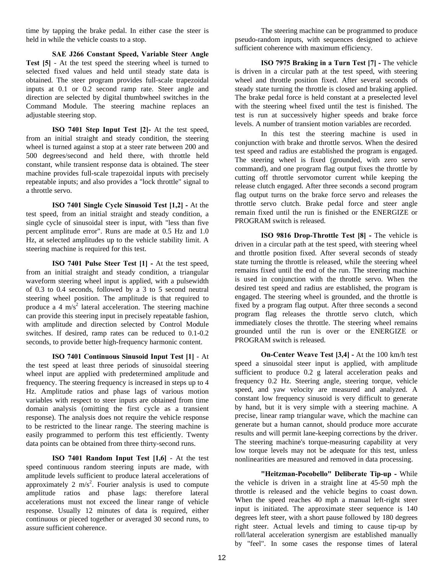time by tapping the brake pedal. In either case the steer is held in while the vehicle coasts to a stop.

**SAE J266 Constant Speed, Variable Steer Angle Test [5]** - At the test speed the steering wheel is turned to selected fixed values and held until steady state data is obtained. The steer program provides full-scale trapezoidal inputs at 0.1 or 0.2 second ramp rate. Steer angle and direction are selected by digital thumbwheel switches in the Command Module. The steering machine replaces an adjustable steering stop.

**ISO 7401 Step Input Test [2]-** At the test speed, from an initial straight and steady condition, the steering wheel is turned against a stop at a steer rate between 200 and 500 degrees/second and held there, with throttle held constant, while transient response data is obtained. The steer machine provides full-scale trapezoidal inputs with precisely repeatable inputs; and also provides a "lock throttle" signal to a throttle servo.

**ISO 7401 Single Cycle Sinusoid Test [1,2] -** At the test speed, from an initial straight and steady condition, a single cycle of sinusoidal steer is input, with "less than five percent amplitude error". Runs are made at 0.5 Hz and 1.0 Hz, at selected amplitudes up to the vehicle stability limit. A steering machine is required for this test.

**ISO 7401 Pulse Steer Test [1] -** At the test speed, from an initial straight and steady condition, a triangular waveform steering wheel input is applied, with a pulsewidth of 0.3 to 0.4 seconds, followed by a 3 to 5 second neutral steering wheel position. The amplitude is that required to produce a 4 m/s<sup>2</sup> lateral acceleration. The steering machine can provide this steering input in precisely repeatable fashion, with amplitude and direction selected by Control Module switches. If desired, ramp rates can be reduced to 0.1-0.2 seconds, to provide better high-frequency harmonic content.

**ISO 7401 Continuous Sinusoid Input Test [1]** - At the test speed at least three periods of sinusoidal steering wheel input are applied with predetermined amplitude and frequency. The steering frequency is increased in steps up to 4 Hz. Amplitude ratios and phase lags of various motion variables with respect to steer inputs are obtained from time domain analysis (omitting the first cycle as a transient response). The analysis does not require the vehicle response to be restricted to the linear range. The steering machine is easily programmed to perform this test efficiently. Twenty data points can be obtained from three thirty-second runs.

**ISO 7401 Random Input Test [1,6]** - At the test speed continuous random steering inputs are made, with amplitude levels sufficient to produce lateral accelerations of approximately 2  $m/s^2$ . Fourier analysis is used to compute amplitude ratios and phase lags: therefore lateral accelerations must not exceed the linear range of vehicle response. Usually 12 minutes of data is required, either continuous or pieced together or averaged 30 second runs, to assure sufficient coherence.

The steering machine can be programmed to produce pseudo-random inputs, with sequences designed to achieve sufficient coherence with maximum efficiency.

**ISO 7975 Braking in a Turn Test [7] - The vehicle** is driven in a circular path at the test speed, with steering wheel and throttle position fixed. After several seconds of steady state turning the throttle is closed and braking applied. The brake pedal force is held constant at a preselected level with the steering wheel fixed until the test is finished. The test is run at successively higher speeds and brake force levels. A number of transient motion variables are recorded.

In this test the steering machine is used in conjunction with brake and throttle servos. When the desired test speed and radius are established the program is engaged. The steering wheel is fixed (grounded, with zero servo command), and one program flag output fixes the throttle by cutting off throttle servomotor current while keeping the release clutch engaged. After three seconds a second program flag output turns on the brake force servo and releases the throttle servo clutch. Brake pedal force and steer angle remain fixed until the run is finished or the ENERGIZE or PROGRAM switch is released.

**ISO 9816 Drop-Throttle Test [8] - The vehicle is** driven in a circular path at the test speed, with steering wheel and throttle position fixed. After several seconds of steady state turning the throttle is released, while the steering wheel remains fixed until the end of the run. The steering machine is used in conjunction with the throttle servo. When the desired test speed and radius are established, the program is engaged. The steering wheel is grounded, and the throttle is fixed by a program flag output. After three seconds a second program flag releases the throttle servo clutch, which immediately closes the throttle. The steering wheel remains grounded until the run is over or the ENERGIZE or PROGRAM switch is released.

**On-Center Weave Test [3,4] -** At the 100 km/h test speed a sinusoidal steer input is applied, with amplitude sufficient to produce 0.2 g lateral acceleration peaks and frequency 0.2 Hz. Steering angle, steering torque, vehicle speed, and yaw velocity are measured and analyzed. A constant low frequency sinusoid is very difficult to generate by hand, but it is very simple with a steering machine. A precise, linear ramp triangular wave, which the machine can generate but a human cannot, should produce more accurate results and will permit lane-keeping corrections by the driver. The steering machine's torque-measuring capability at very low torque levels may not be adequate for this test, unless nonlinearities are measured and removed in data processing.

**"Heitzman-Pocobello" Deliberate Tip-up -** While the vehicle is driven in a straight line at 45-50 mph the throttle is released and the vehicle begins to coast down. When the speed reaches 40 mph a manual left-right steer input is initiated. The approximate steer sequence is 140 degrees left steer, with a short pause followed by 180 degrees right steer. Actual levels and timing to cause tip-up by roll/lateral acceleration synergism are established manually by "feel". In some cases the response times of lateral